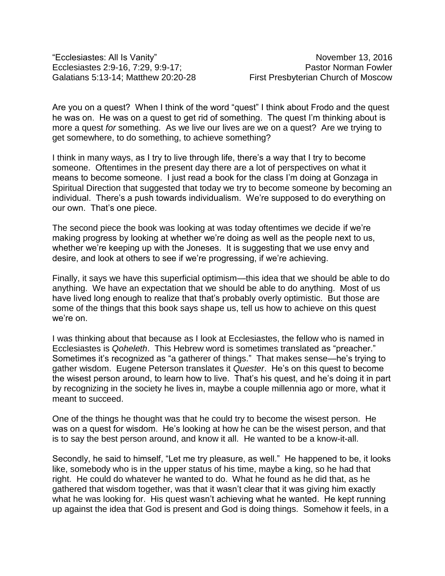"Ecclesiastes: All Is Vanity" November 13, 2016 Ecclesiastes 2:9-16, 7:29, 9:9-17; Pastor Norman Fowler Galatians 5:13-14; Matthew 20:20-28 First Presbyterian Church of Moscow

Are you on a quest? When I think of the word "quest" I think about Frodo and the quest he was on. He was on a quest to get rid of something. The quest I'm thinking about is more a quest *for* something. As we live our lives are we on a quest? Are we trying to get somewhere, to do something, to achieve something?

I think in many ways, as I try to live through life, there's a way that I try to become someone. Oftentimes in the present day there are a lot of perspectives on what it means to become someone. I just read a book for the class I'm doing at Gonzaga in Spiritual Direction that suggested that today we try to become someone by becoming an individual. There's a push towards individualism. We're supposed to do everything on our own. That's one piece.

The second piece the book was looking at was today oftentimes we decide if we're making progress by looking at whether we're doing as well as the people next to us, whether we're keeping up with the Joneses. It is suggesting that we use envy and desire, and look at others to see if we're progressing, if we're achieving.

Finally, it says we have this superficial optimism—this idea that we should be able to do anything. We have an expectation that we should be able to do anything. Most of us have lived long enough to realize that that's probably overly optimistic. But those are some of the things that this book says shape us, tell us how to achieve on this quest we're on.

I was thinking about that because as I look at Ecclesiastes, the fellow who is named in Ecclesiastes is *Qoheleth*. This Hebrew word is sometimes translated as "preacher." Sometimes it's recognized as "a gatherer of things." That makes sense—he's trying to gather wisdom. Eugene Peterson translates it *Quester*. He's on this quest to become the wisest person around, to learn how to live. That's his quest, and he's doing it in part by recognizing in the society he lives in, maybe a couple millennia ago or more, what it meant to succeed.

One of the things he thought was that he could try to become the wisest person. He was on a quest for wisdom. He's looking at how he can be the wisest person, and that is to say the best person around, and know it all. He wanted to be a know-it-all.

Secondly, he said to himself, "Let me try pleasure, as well." He happened to be, it looks like, somebody who is in the upper status of his time, maybe a king, so he had that right. He could do whatever he wanted to do. What he found as he did that, as he gathered that wisdom together, was that it wasn't clear that it was giving him exactly what he was looking for. His quest wasn't achieving what he wanted. He kept running up against the idea that God is present and God is doing things. Somehow it feels, in a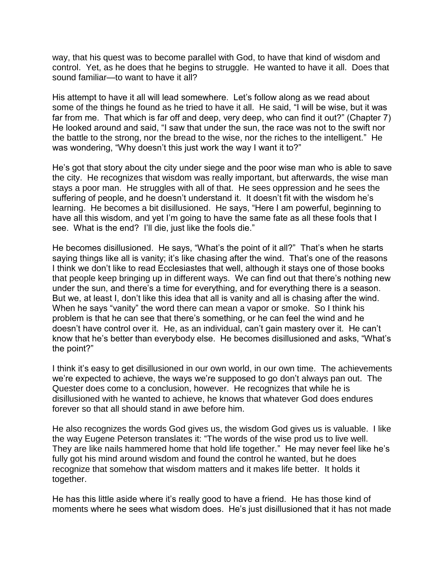way, that his quest was to become parallel with God, to have that kind of wisdom and control. Yet, as he does that he begins to struggle. He wanted to have it all. Does that sound familiar—to want to have it all?

His attempt to have it all will lead somewhere. Let's follow along as we read about some of the things he found as he tried to have it all. He said, "I will be wise, but it was far from me. That which is far off and deep, very deep, who can find it out?" (Chapter 7) He looked around and said, "I saw that under the sun, the race was not to the swift nor the battle to the strong, nor the bread to the wise, nor the riches to the intelligent." He was wondering, "Why doesn't this just work the way I want it to?"

He's got that story about the city under siege and the poor wise man who is able to save the city. He recognizes that wisdom was really important, but afterwards, the wise man stays a poor man. He struggles with all of that. He sees oppression and he sees the suffering of people, and he doesn't understand it. It doesn't fit with the wisdom he's learning. He becomes a bit disillusioned. He says, "Here I am powerful, beginning to have all this wisdom, and yet I'm going to have the same fate as all these fools that I see. What is the end? I'll die, just like the fools die."

He becomes disillusioned. He says, "What's the point of it all?" That's when he starts saying things like all is vanity; it's like chasing after the wind. That's one of the reasons I think we don't like to read Ecclesiastes that well, although it stays one of those books that people keep bringing up in different ways. We can find out that there's nothing new under the sun, and there's a time for everything, and for everything there is a season. But we, at least I, don't like this idea that all is vanity and all is chasing after the wind. When he says "vanity" the word there can mean a vapor or smoke. So I think his problem is that he can see that there's something, or he can feel the wind and he doesn't have control over it. He, as an individual, can't gain mastery over it. He can't know that he's better than everybody else. He becomes disillusioned and asks, "What's the point?"

I think it's easy to get disillusioned in our own world, in our own time. The achievements we're expected to achieve, the ways we're supposed to go don't always pan out. The Quester does come to a conclusion, however. He recognizes that while he is disillusioned with he wanted to achieve, he knows that whatever God does endures forever so that all should stand in awe before him.

He also recognizes the words God gives us, the wisdom God gives us is valuable. I like the way Eugene Peterson translates it: "The words of the wise prod us to live well. They are like nails hammered home that hold life together." He may never feel like he's fully got his mind around wisdom and found the control he wanted, but he does recognize that somehow that wisdom matters and it makes life better. It holds it together.

He has this little aside where it's really good to have a friend. He has those kind of moments where he sees what wisdom does. He's just disillusioned that it has not made